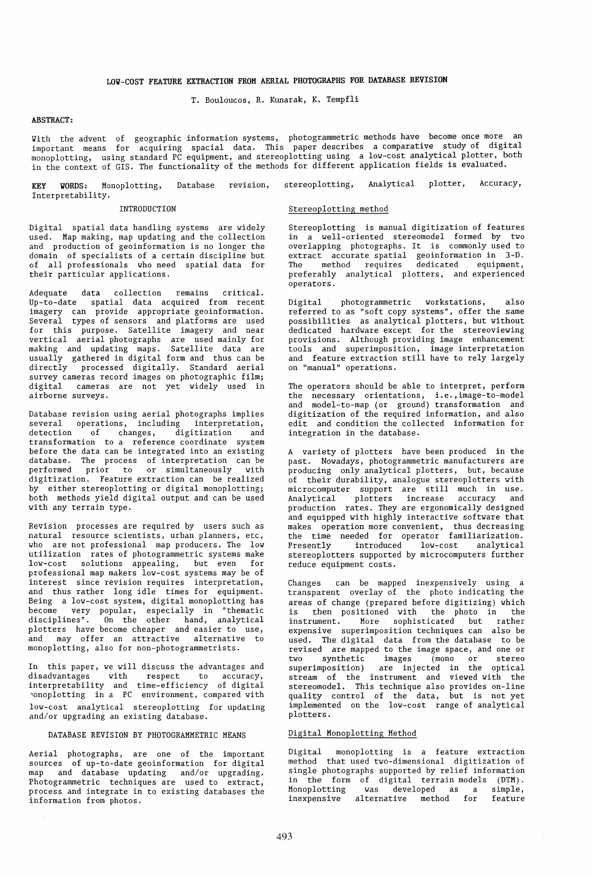### LOY-COST FEATURE EXTRACTION FROM AERIAL PHOTOGRAPHS FOR DATABASE REVISION

T. Bouloucos, R. Kunarak, K. Tempfli

## ABSTRACT:

Yith the advent of geographic information systems, photogrammetric methods have become once more an important means for acquiring spacial data. This paper describes a comparative study of digital monoplotting, using standard PC equipment, and stereoplotting using a low-cost analytical plotter, both in the context of GIS. The functionality of the methods for different application fields is evaluated.

KEY YORDS: Monoplotting, Interpretability. Database revision, stereoplotting, Analytical plotter, Accuracy,

### INTRODUCTION

## Stereoplotting method

Digital spatial data handling systems are widely used. Map making, map updating and the collection and production of geoinformation is no longer the domain of specialists of a certain discipline but of all professionals who need spatial data for their particular applications.

Adequate data collection remains critical. Up-to-date spatial data acquired from recent imagery can provide appropriate geoinformation. Several types of sensors and platforms are used for this purpose. Satellite imagery and near vertical aerial photographs are used mainly for making and updating maps. Satellite data are usually gathered in digital form and thus can be directly processed digitally. Standard aerial survey cameras record images on photographic film; digital cameras are not yet widely used in airborne surveys.

Database revision using aerial photographs implies several operations, including interpretation,<br>detection of changes, digitization and of changes, digitization and transformation to a reference coordinate system before the data can be integrated into an existing database. The process of interpretation can be performed prior to or simultaneously with digitization. Feature extraction can be realized by either stereoplotting or digital monoplotting; both methods yield digital output and can be used with any terrain type.

Revision processes are required by users such as natural resource scientists, urban planners, etc, who are not professional map producers. The low utilization rates of photogrammetric systems make low-cost solutions appealing, but even for professional map makers low-cost systems may be of interest since revision requires interpretation, and thus rather long idle times for equipment. Being a low-cost system, digital monoplotting has become very popular, especially in "thematic disciplines". On the other hand, analytical plotters have become cheaper and easier to use, and may offer an attractive alternative to monoplotting, also for non-photogrammetrists.

In this paper, we will discuss the advantages and disadvantages with respect to accuracy, interpretability and time-efficiency of digital 'onoplotting in a PC environment, compared with low-cost analytical stereoplotting for updating and/or upgrading an existing database.

### DATABASE REVISION BY PHOTOGRAMMETRIC MEANS

Aerial photographs, are one of the important sources of up-to-date geoinformation for digital map and database updating and/or upgrading. Photogrammetric techniques are used to extract, process and integrate in to existing databases the information from photos.

Stereoplotting is manual digitization of features in a well-oriented stereomodel formed by two overlapping photographs. It is commonly used to extract accurate spatial geoinformation in 3-D. The method requires dedicated equipment, preferably analytical plotters, and experienced operators.

Digital photogrammetric workstations, also referred to as "soft copy systems", offer the same possibilities as analytical plotters, but without dedicated hardware except for the stereoviewing provisions. Although providing image enhancement tools and superimposition, image interpretation and feature extraction still have to rely largely on "manual" operations.

The operators should be able to interpret, perform the necessary orientations, i.e.,image-to-model and model-to-map (or ground) transformation and digitization of the required information, and also edit and condition the collected information for integration in the database.

A variety of plotters have been produced in the past. Nowadays, photogrammetric manufacturers are producing only analytical plotters, but, because of their durability, analogue stereoplotters with microcomputer support are still much in use. Analytical plotters increase accuracy and production rates. They are ergonomically designed and equipped with highly interactive software that makes operation more convenient, thus decreasing the time needed for operator familiarization. Presently introduced low-cost analytical stereoplotters supported by microcomputers further reduce equipment costs.

Changes can be mapped inexpensively using a transparent overlay of the photo indicating the areas of change (prepared before digitizing) which is then positioned with the photo in the instrument. More sophisticated but rather expensive superimposition techniques can also be used. The digital data from the database to be revised are mapped to the image space, and one or two synthetic images (mono or stereo superimposition) are injected in the optical stream of the instrument and viewed with the stereomodel. This technique also provides on-line quality control of the data, but is not yet implemented on the low-cost range of analytical plotters.

### Digital Monoplotting Method

Digital monoplotting is a feature extraction method that used two-dimensional digitization of single photographs supported by relief information in the form of digital terrain models (DTH). Monoplotting was developed as a simple, inexpensive alternative method for feature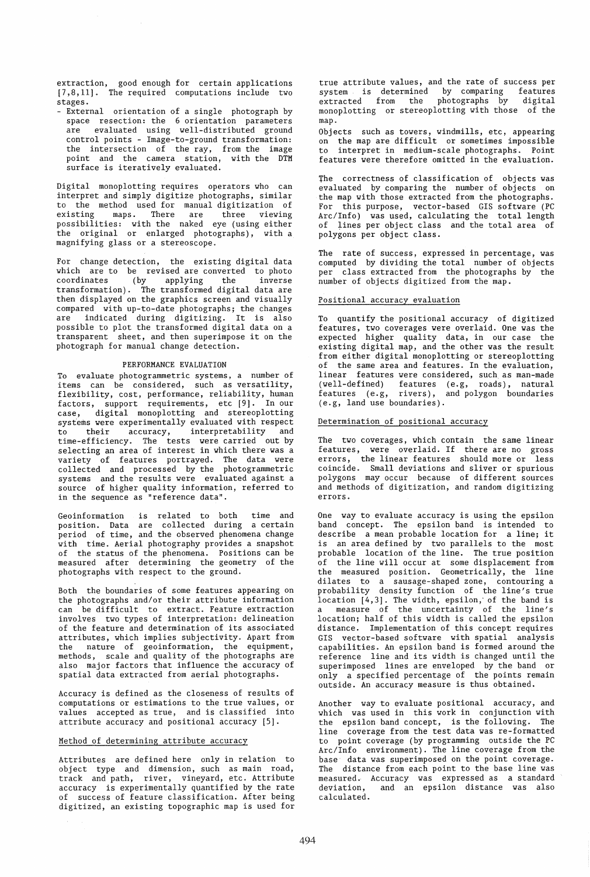extraction, good enough for certain applications [7,8,11]. The required computations include two stages.

- External orientation of a single photograph by space resection: the 6 orientation parameters are evaluated using well-distributed ground control points - Image-to-ground transformation: the intersection of the ray, from the image point and the camera station, with the DTM surface is iteratively evaluated.

Digital monoplotting requires operators who can ihterpret and simply digitize photographs, similar to the method used for manual digitization of existing maps. There are three viewing possibilities: with the naked eye (using either .<br>the original or enlarged photographs), with a magnifying glass or a stereoscope.

For change detection, the existing digital data which are to be revised are converted to photo coordinates (by applying the inverse transformation). The transformed digital data are then displayed on the graphics screen and visually compared with up-to-date photographs; the changes are indicated during digitizing. It is also possible to plot the transformed digital data on a transparent sheet, and then superimpose it on the photograph for manual change detection.

### PERFORMANCE EVALUATION

To evaluate photogrammetric systems, a number of items can be considered, such as versatility, flexibility, cost, performance, reliability, human factors, support requirements, etc [9]. In our case, digital monoplotting and stereoplotting systems were experimentally evaluated with respect to their accuracy, interpretability and time-efficiency. The tests were carried out by selecting an area of interest in which there was a variety of features portrayed. The data were collected and processed by the photogrammetric systems and the results were evaluated against a source of higher quality information, referred to in the sequence as "reference data".

Geoinformation is related to both time and position. Data are collected during a certain period of time, and the observed phenomena change with time. Aerial photography provides a snapshot of the status of the phenomena. Positions can be measured after determining the geometry of the photographs with respect to the ground.

Both the boundaries of some features appearing on the photographs and/or their attribute information can be difficult to extract. Feature extraction involves two types of interpretation: delineation of the feature and determination of its associated attributes, which implies subjectivity. Apart from the nature of geoinformation, the equipment, methods, scale and quality of the photographs are also major factors that influence the accuracy of spatial data extracted from aerial photographs.

Accuracy is defined as the closeness of results of computations or estimations to the true values, or values accepted as true, and is classified into attribute accuracy and positional accuracy [5].

#### Method of determining attribute accuracy

Attributes are defined here only in relation to object type and dimension, such as main road, track and path, river, vineyard, etc. Attribute accuracy is experimentally quantified by the rate of success of feature classification. After being digitized, an existing topographic map is used for

true attribute values, and the rate of success per system is determined by comparing features extracted from the photographs by digital monoplotting or stereoplotting with those of the map.

Objects such as towers, windmills, etc, appearing on the map are difficult or sometimes impossible to interpret in medium-scale photographs. Point features were therefore omitted in the evaluation.

The correctness of classification of objects was evaluated by comparing the number of objects on the map with those extracted from the photographs. For this purpose, vector-based GIS software (PC Arc/Info) was used, calculating the total length of lines per object class and the total area of polygons per object class.

The rate of success, expressed in percentage, was computed by dividing the total number of objects per class extracted from the photographs by the number of objects digitized from the map.

# Positional accuracy evaluation

To quantify the positional accuracy of digitized features, two coverages were overlaid. One was the expected higher quality data, in our case the existing digital map, and the other was the result from either digital monoplotting or stereoplotting of the same area and features. In the evaluation, linear features were considered, such. as man-made (well-defined) features (e.g, roads), natural features (e.g, rivers), and polygon boundaries (e.g, land use boundaries).

# Determination of positional accuracy

The two coverages, which contain the same linear features, were overlaid. If there are no gross errors, the linear features should more or less coincide. Small deviations and sliver or spurious polygons may occur because of different sources and methods of digitization, and random digitizing errors.

One way to evaluate accuracy is using the epsilon band concept. The epsilon band is intended to describe a mean probable location for a line; it is an area defined by two parallels to the most probable location of the line. The true position of the line will occur at some displacement from the measured position. Geometrically, the line dilates to a sausage-shaped zone, contouring a probability density function of the line's true location [4,3]. The width, epsilon,' of the band is a measure of the uncertainty of the line's location; half of this width is called the epsilon distance. Implementation of this concept requires GIS vector-based software with spatial analysis capabilities. An epsilon band is formed around the reference line and its width is changed until the superimposed lines are enveloped by the band or only a specified percentage of the points remain outside. An accuracy measure is thus obtained.

Another way to evaluate positional accuracy, and which was used in this work in conjunction with the epsilon band concept, is the following. The line coverage from the test data was re-formatted to point coverage (by programming outside the PC Arc/Info environment). The line coverage from the base data was superimposed on the point coverage. The distance from each point to the base line was measured. Accuracy was expressed as a standard deviation, and an epsilon distance was also calculated.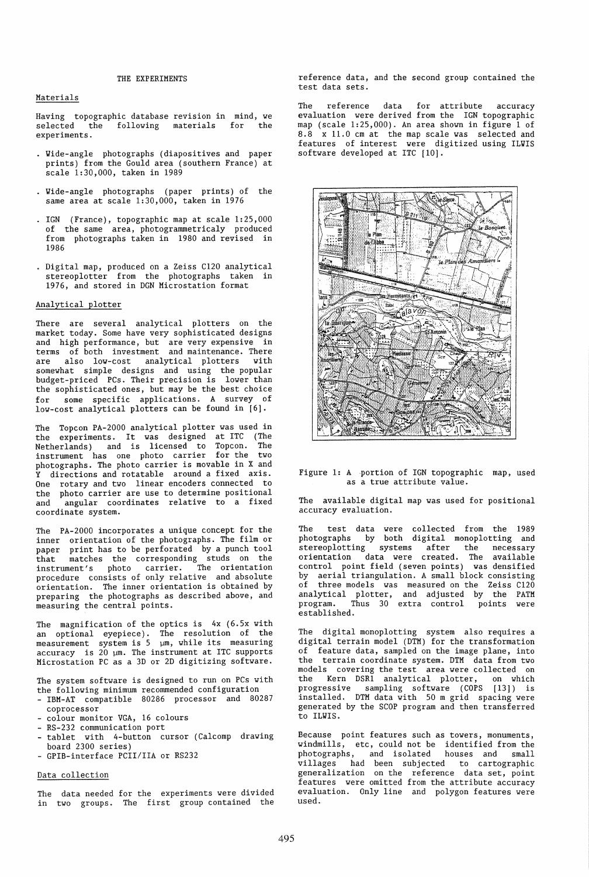## THE EXPERIMENTS

### Materials

Having topographic database revision in mind, we selected the following materials for the experiments.

- Wide-angle photographs (diapositives and paper prints) from the Gould area (southern France) at scale 1:30,000, taken in 1989
- Wide-angle photographs (paper prints) of the same area at scale 1:30,000, taken in 1976
- IGN (France), topographic map at scale 1:25,000 of the same area, photogrammetricaly produced from photographs taken in 1980 and revised in 1986
- Digital map, produced on a Zeiss C120 analytical stereoplotter from the photographs taken in 1976, and stored in DGN Microstation format

#### Analytical plotter

There are several analytical plotters on the market today. Some have very sophisticated designs and high performance, but are very expensive in terms of both investment and maintenance. There are also low-cost analytical plotters with somewhat simple designs and using the popular budget-priced PCs. Their precision is lower than the sophisticated ones, but may be the best choice for some specific applications. A survey of low-cost analytical plotters can be found in [6].

The Topcon PA-2000 analytical plotter was used in the experiments. It was designed at ITC (The Netherlands) and is licensed to Topcon. The instrument has one photo carrier for the two photographs. The photo carrier is movable in X and Y directions and rotatable around a fixed axis. One rotary and two linear encoders connected to the photo carrier are use to determine positional and angular coordinates relative to a fixed coordinate system.

The PA-2000 incorporates a unique concept for the inner orientation of the photographs. The film or paper print has to be perforated by a punch tool that matches the corresponding studs on the instrument's photo carrier. The orientation procedure consists of only relative and absolute orientation. The inner orientation is obtained by preparing the photographs as described above, and measuring the central points.

The magnification of the optics is 4x (6.5x with an optional eyepiece). The resolution of the<br>measurement system is 5 µm, while its measuring accuracy is  $20 \mu m$ . The instrument at ITC supports Microstation PC as a 3D or 2D digitizing software.

The system software is designed to run on PCs with the following minimum recommended configuration

- IBM-AT compatible 80286 processor and 80287 coprocessor
- colour monitor VGA, 16 colours
- RS-232 communication port
- tablet with 4-button cursor (Calcomp drawing board 2300 series)
- GPIB-interface PCII/IIA or RS232

# Data collection

The data needed for the experiments were divided in two groups. The first group contained the reference data, and the second group contained the test data sets.

The reference data for attribute accuracy evaluation were derived from the IGN topographic map (scale 1:25,000). An area shown in figure 1 of 8.8 x 11.0 cm at the map scale was selected and x 11.0 cm at the map scale was selected and features of interest were digitized using ILWIS software developed at ITC  $[10]$ .



Figure 1: A portion of IGN topographic map, used as a true attribute value.

The available digital map was used for positional accuracy evaluation.

The test data were collected from the 1989 photographs by both digital menoplotting and stereoplotting systems after the necessary orientation data were created. The available control point field (seven points) was densified by aerial triangulation. A small block consisting<br>of three models was measured on the Zeiss C120 three models was measured on the Zeiss  $C120$ analytical plotter, and adjusted by the PATM program. Thus 30 extra control points were established.

The digital monoplotting system also requires a digital terrain model (DTM) for the transformation of feature data, sampled on the image plane, into the terrain coordinate system. DTM data from two models covering the test area were collected on the Kern DSR1 analytical plotter, on which progressive sampling software (COPS [13]) is installed. DTM data with 50 m grid spacing were generated by the SCOP program and then transferred to ILWIS.

Because point features such as towers, monuments, windmills, etc, could not be identified from the photographs, and isolated houses and small villages had been subjected to cartographic generalization on the reference data set, point features were omitted from the attribute accuracy evaluation. Only line and polygon features were used.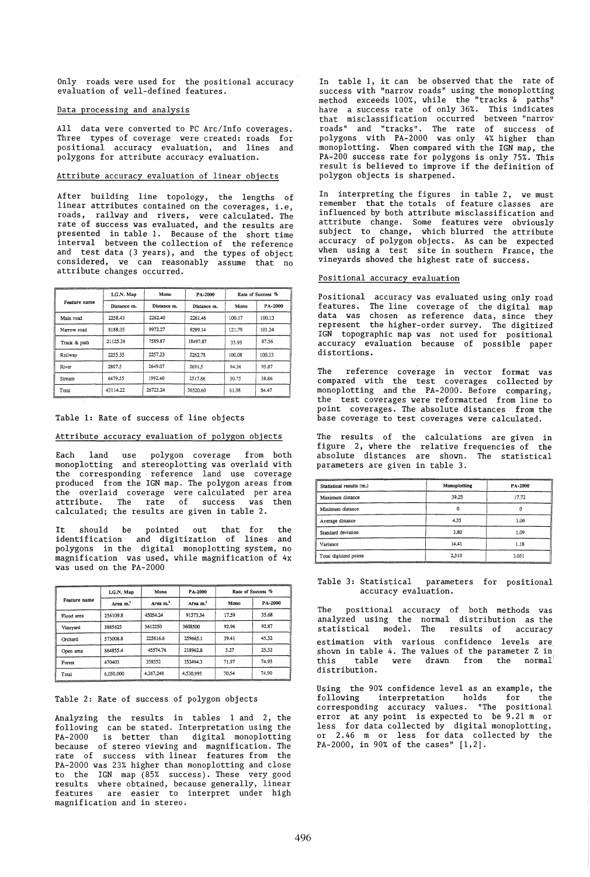Only roads were used for the positional accuracy evaluation of well-defined features.

## Data processing and analysis

All data were converted to PC Arc/Info coverages. Three types of coverage were created: roads for positional accuracy evaluation, and lines and polygons for attribute accuracy evaluation.

## Attribute accuracy evaluation of linear objects

After building line topology, the lengths of linear attributes contained on the coverages, i.e, roads, railway and rivers, were calculated. The rate of success was evaluated, and the results are presented in table 1. Because of the short time interval between the collection of the reference and test data (3 years), and the types of object considered, we can reasonably assume that no attribute changes occurred.

| Feature name | I.G.N. Map  | Mono        | PA-2000     | Rate of Success % |         |  |
|--------------|-------------|-------------|-------------|-------------------|---------|--|
|              | Distance m. | Distance m. | Distance m. | Mono              | PA-2000 |  |
| Main road    | 2258.43     | 2262.40     | 2261.46     | 100.17            | 100.13  |  |
| Narrow road  | 8188.03     | 9972.27     | 8289.14     | 121.79            | 101.24  |  |
| Track & path | 21125.36    | 7589.87     | 18497.87    |                   | 87.56   |  |
| Railway      | 2255.35     | 2257.23     | 2262.78     | 100.08            | 100.33  |  |
| River        | 2807.5      | 2649.07     | 2691.5      | 94.36             | 95.87   |  |
| Stream       | 6479.55     | 1992.40     | 2517.86     | 30.75             | 38.86   |  |
| Total        | 43114.22    | 26723.24    | 36520.60    | 61.98             | 84.47   |  |

### Table 1: Rate of success of line objects

# Attribute accuracy evaluation of polygon objects

Each land use polygon coverage from both monoplotting and stereoplotting was overlaid with the corresponding reference land use coverage produced from the IGN map. The polygon areas from the overlaid coverage were calculated per area attribute. The rate of success was then calculated; the results are given in table 2.

It should be pointed out that for the identification and digitization of lines and polygons in the digital monoplotting system, no magnification was used, while magnification of 4x was used on the PA-2000

|              | Mono<br>I.G.N. Map   |           | PA-2000              | Rate of Success % |         |  |
|--------------|----------------------|-----------|----------------------|-------------------|---------|--|
| Feature name | Area m. <sup>2</sup> | Area $m2$ | Area m. <sup>2</sup> | Mono              | PA-2000 |  |
| Flood area   | 256109.8             | 45054.24  | 91373.34             | 17.59             | 35.68   |  |
| Vineyard     | 3885623              | 3612250   | 3608500              | 92.96             | 92.87   |  |
| Orchard      | 573008.8             | 225816.6  | 259665.1             | 39.41             | 45.32   |  |
| Open area    | 864855.4             | 45574.76  | 218962.8             | 5.27              | 25.32   |  |
| Forest       | 470403               | 338552    | 352494.3             | 71.97             | 74.93   |  |
| Total        | 6,050,000            | 4.267.248 | 4,530,995            | 70.54             | 74.90   |  |

### Table 2: Rate of success of polygon objects

Analyzing the results in tables 1 and 2, the following can be stated. Interpretation using the PA-2000 is better than digital monoplotting because of stereo viewing and magnification. The rate of success with linear features from the PA-2000 was 23% higher than monoplotting and close to the IGN map (85% success). These very good results where obtained, because generally, linear features are easier to interpret under high magnification and in stereo.

In table 1, it can be observed that the rate of success with "narrow roads" using the monoplotting method exceeds 100%, while the "tracks & paths" have a success rate of only 36%. This indicates that misclassification occurred between "narrov roads" and "tracks". The rate of success of polygons with PA-2000 was only 4% higher than monoplotting. Yhen compared with the IGN map, the PA-200 success rate for polygons is only 75%. This result is believed to improve if the definition of polygon objects is sharpened.

In interpreting the figures in table 2, we must remember that the totals of feature classes are influenced by both attribute misclassification and attribute change. Some features were obviously subject to change, which blurred the attribute accuracy of polygon objects. As can be expected when using a test site in southern France, the vineyards showed the highest rate of success.

## Positional accuracy evaluation

Positional accuracy was evaluated using only road features. The line coverage of the digital map data was chosen as reference data, since they represent the higher-order survey. The digitized' IGN topographic map was not used for positional accuracy evaluation because of possible paper distortions.

The reference coverage in vector format was compared with the test coverages collected by monoplotting and the PA-2000. Before comparing, the test coverages were reformatted from line to point coverages. The absolute distances from the base coverage to test coverages were calculated.

The results of the calculations are given in figure 2, where the relative frequencies of the absolute distances are shown. The statistical parameters are given in table 3.

| Statistical results (m.) | Monoplotting | PA-2000 |  |
|--------------------------|--------------|---------|--|
| Maximum distance         | 39.23        | 17.72   |  |
| Minimum distance         |              |         |  |
| Average distance         | 4.35         | 1.06    |  |
| Standard deviation       | 3.80         | 1.09    |  |
| Variance                 | 14.41        | 1.18    |  |
| Total digitized points   | 2.310        | 3.051   |  |

#### Table 3: Statistical parameters for positional accuracy evaluation.

The positional accuracy of both methods was analyzed using the normal distribution as the statistical model. The results of accuracy estimation with various confidence levels are shown in table 4. The values of the parameter Z in<br>this table were drawn from the normal table were drawn distribution.

Using the 90% confidence level as an example, the following interpretation holds for the corresponding accuracy values. "The positional error at any point is expected to be 9.21 m or less for data collected by digital monoplotting, or 2.46 m or less for data collected by the PA-2000, in 90% of the cases" [1,2].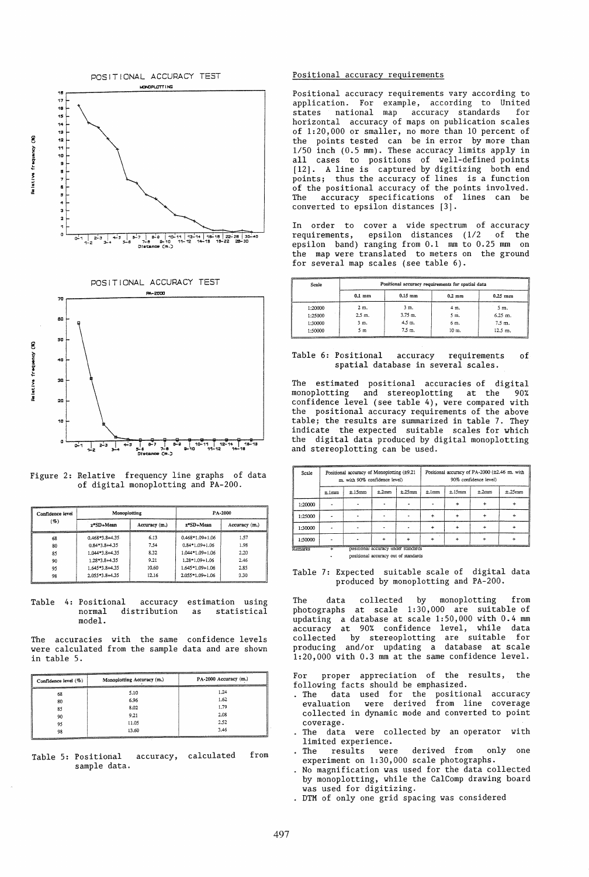

Figure 2: Relative frequency line graphs of data

| of digital monoplotting and PA-200. |  |  |
|-------------------------------------|--|--|

 $\overline{6}$ 

| Confidence level | Monoplotting     |               | PA-2000                                                                                       |               |  |
|------------------|------------------|---------------|-----------------------------------------------------------------------------------------------|---------------|--|
| ( %)             | z*SD+Mean        | Accuracy (m.) | z*SD+Mean                                                                                     | Accuracy (m.) |  |
| 68               | $0.468*3.8+4.35$ | 6.13          | <b><i><u>PERSONAL PROPERTY AND DESCRIPTION OF REAL PROPERTY.</u></i></b><br>$0.468*1.09+1.06$ | 1.57          |  |
| 30               | $0.84*3.8+4.35$  | 7.54          | $0.84*1.09+1.06$                                                                              | 1.98          |  |
| 85               | 1.044*3.8+4.35   | 8.32          | $1.044*1.09+1.06$                                                                             | 2.20          |  |
| 90               | 1.28*3.8+4.35    | 9.21          | $1.28*1.09+1.06$                                                                              | 2.46          |  |
| 95               | 1.645*3.8+4.35   | 10.60         | 1.645*1.09+1.06                                                                               | 2.85          |  |
| 98               | 2.055*3.8+4.35   | 12.16         | $2.055*1.09+1.06$                                                                             | 3.30          |  |

Table 4: Positional accuracy normal distribution model. accuracy estimation using as statistical

The accuracies with the same confidence levels were calculated from the sample data and are shown in table 5.

| Confidence level (%) | Monoplotting Accuracy (m.) | PA-2000 Accuracy (m.)<br><b>CONTRACTOR</b> |  |  |
|----------------------|----------------------------|--------------------------------------------|--|--|
| 68                   | 5.10                       | 1.24                                       |  |  |
| 80                   | 6.96                       | 1.62                                       |  |  |
| 85                   | 8.02                       | 1.79                                       |  |  |
| 90                   | 9.21                       | 2.08                                       |  |  |
| 95                   | 11.05                      | 2.52                                       |  |  |
| 98                   | 13.60                      | 3.46                                       |  |  |

Table 5: Positional accuracy, calculated sample data. from

#### Positional accuracy reguirements

Positional accuracy requirements vary according to application. For example, according to United states national map accuracy standards for horizontal accuracy of maps on publication scales of 1:20,000 or smaller, no more than 10 percent of the points tested can be in error by more than 1/50 inch (0.5 mm). These accuracy limits apply in all cases to positions of well-defined points [12]. A line is captured by digitizing both end points; thus the accuracy of lines is a function of the positional accuracy of the points involved . The accuracy specifications of lines can be converted to epsilon distances [3].

In order to cover a wide spectrum of accuracy requirements, epsilon distances (1/2 of the epsilon band) ranging from 0.1 mm to 0.25 mm on the map were translated to meters on the ground for several map scales (see table 6).

| Scale                                                                                                                                                                                                                                                       | Positional accuracy requirements for spatial data |           |       |           |  |
|-------------------------------------------------------------------------------------------------------------------------------------------------------------------------------------------------------------------------------------------------------------|---------------------------------------------------|-----------|-------|-----------|--|
|                                                                                                                                                                                                                                                             | $0.1 \text{ mm}$                                  | $0.25$ mm |       |           |  |
| 1:20000                                                                                                                                                                                                                                                     | $2m$ .                                            | 3 m.      | 4 m.  | 5 m.      |  |
| 1:25000                                                                                                                                                                                                                                                     | $2.5m$ .                                          | $3.75$ m. | 5 m.  | $6.25$ m. |  |
| 1:30000                                                                                                                                                                                                                                                     | 3 m.                                              | 4.5 m.    | 6 m.  | 7.5 m.    |  |
| 1:50000<br><b><i><u>Property and the property of the Company's property and the Company's property and the Company's property and the Company's property and the Company's property and the Company's property and the Company's property and t</u></i></b> | 5 m                                               | 7.5 m.    | 10 m. | 12.5 m.   |  |

### Table 6: Positional accuracy requirements of spatial database in several scales.

The estimated positional accuracies of digital monoplotting and stereoplotting at the 90% confidence level (see table 4), were compared with the positional accuracy requirements of the above table; the results are summarized in table 7. They indicate the expected suitable scales for which the digital data produced by digital monoplotting and stereoplotting can be used.

| Positional accuracy of Monoplotting (±9.21<br>m. with 90% confidence level) |                                     |       | Positional accuracy of PA-2000 (±2.46 m. with<br>90% confidence level) |       |                                      |       |        |
|-----------------------------------------------------------------------------|-------------------------------------|-------|------------------------------------------------------------------------|-------|--------------------------------------|-------|--------|
| ±.1mm                                                                       | ±.15mm                              | ±.2mm | ±.25mm                                                                 | ±.imm | ±.15mm                               | ±.2mm | ±.25mm |
|                                                                             |                                     |       |                                                                        |       |                                      |       |        |
|                                                                             |                                     |       |                                                                        | $\pm$ |                                      |       |        |
|                                                                             |                                     |       |                                                                        |       |                                      |       |        |
|                                                                             |                                     |       |                                                                        |       |                                      |       |        |
|                                                                             | positional accuracy under standards |       |                                                                        |       |                                      |       |        |
|                                                                             |                                     |       |                                                                        |       | positional accuracy out of standards |       |        |

### Table 7: Expected suitable scale of digital data produced by monoplotting and PA-200.

The data collected by monoplotting from photographs at scale 1:30,000 are suitable of updating a database at scale 1:50,000 with 0.4 mm accuracy at 90% confidence level, while data collected by stereoplotting are suitable for producing and/or updating a database at scale 1:20,000 with 0.3 mm at the same confidence level.

proper appreciation of the results, the following facts should be emphasized.

- . The data used for the positional accuracy evaluation were derived from line coverage collected in dynamic mode and converted to point coverage.
- The data were collected by an operator with limited experience.<br>The results were
- The results were derived from only one experiment on 1:30,000 scale photographs.
- . No magnification was used for the data collected by monoplotting, while the CalComp drawing board was used for digitizing.
- . DTM of only one grid spacing was considered